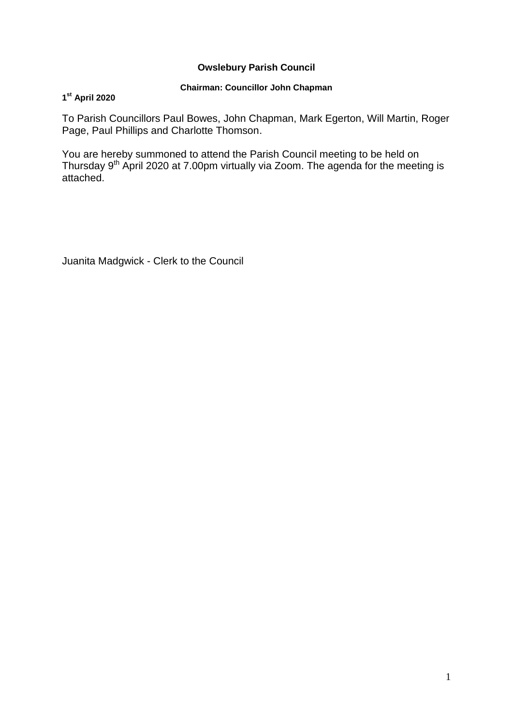### **Owslebury Parish Council**

### **Chairman: Councillor John Chapman**

### **1 st April 2020**

To Parish Councillors Paul Bowes, John Chapman, Mark Egerton, Will Martin, Roger Page, Paul Phillips and Charlotte Thomson.

You are hereby summoned to attend the Parish Council meeting to be held on Thursday 9<sup>th</sup> April 2020 at 7.00pm virtually via Zoom. The agenda for the meeting is attached.

Juanita Madgwick - Clerk to the Council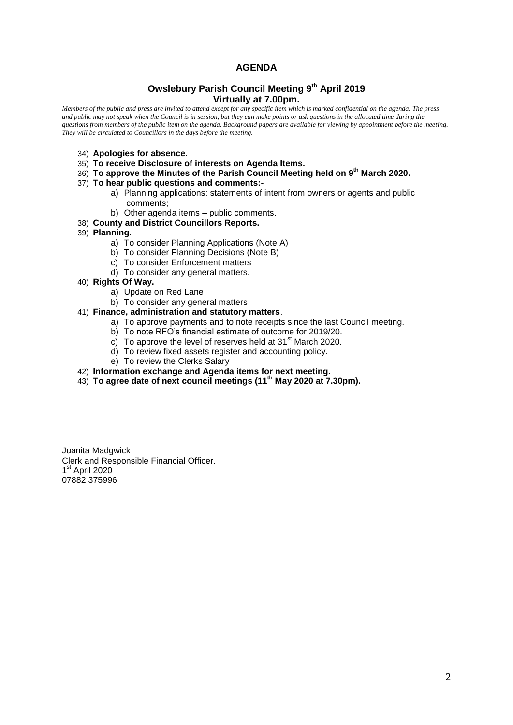### **AGENDA**

#### **Owslebury Parish Council Meeting 9 th April 2019 Virtually at 7.00pm.**

*Members of the public and press are invited to attend except for any specific item which is marked confidential on the agenda. The press and public may not speak when the Council is in session, but they can make points or ask questions in the allocated time during the questions from members of the public item on the agenda. Background papers are available for viewing by appointment before the meeting. They will be circulated to Councillors in the days before the meeting.* 

- 34) **Apologies for absence.**
- 35) **To receive Disclosure of interests on Agenda Items.**
- 36) **To approve the Minutes of the Parish Council Meeting held on 9 th March 2020.**
- 37) **To hear public questions and comments:**
	- a) Planning applications: statements of intent from owners or agents and public comments;
	- b) Other agenda items public comments.
- 38) **County and District Councillors Reports.**
- 39) **Planning.** 
	- a) To consider Planning Applications (Note A)
	- b) To consider Planning Decisions (Note B)
	- c) To consider Enforcement matters
	- d) To consider any general matters.
- 40) **Rights Of Way.**
	- a) Update on Red Lane
	- b) To consider any general matters

#### 41) **Finance, administration and statutory matters**.

- a) To approve payments and to note receipts since the last Council meeting.
- b) To note RFO's financial estimate of outcome for 2019/20.
- c) To approve the level of reserves held at  $31<sup>st</sup>$  March 2020.
- d) To review fixed assets register and accounting policy.
- e) To review the Clerks Salary
- 42) **Information exchange and Agenda items for next meeting.**
- 43) **To agree date of next council meetings (11th May 2020 at 7.30pm).**

Juanita Madgwick Clerk and Responsible Financial Officer. 1<sup>st</sup> April 2020 07882 375996